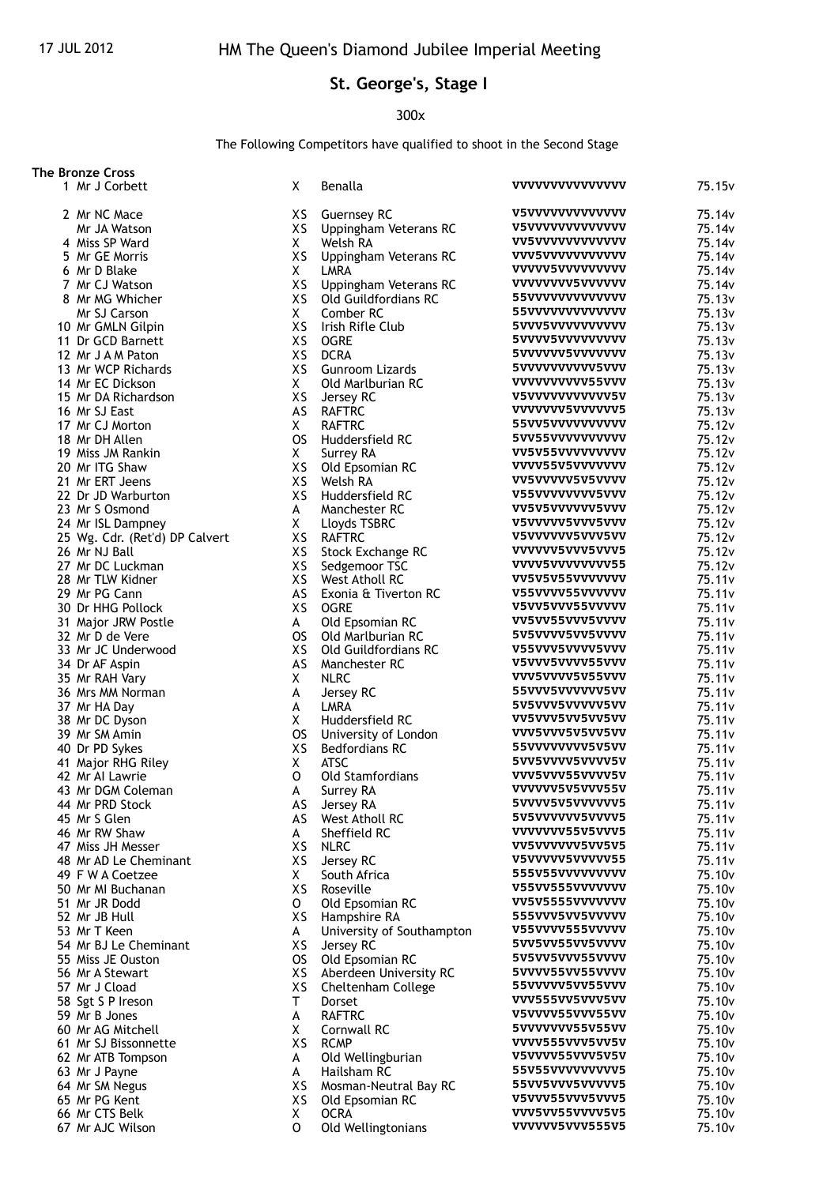## **St. George's, Stage I**

## 300x

The Following Competitors have qualified to shoot in the Second Stage

| <b>The Bronze Cross</b>        |           |                                               |                         |                    |
|--------------------------------|-----------|-----------------------------------------------|-------------------------|--------------------|
| 1 Mr J Corbett                 | X         | Benalla                                       | <b>VVVVVVVVVVVVVV</b>   | 75.15 <sub>v</sub> |
| 2 Mr NC Mace                   | XS.       | <b>Guernsey RC</b>                            | <b>V5VVVVVVVVVVVVV</b>  | 75.14v             |
| Mr JA Watson                   | XS        | Uppingham Veterans RC                         | <b>V5VVVVVVVVVVVV</b>   | 75.14v             |
| 4 Miss SP Ward                 | X         | Welsh RA                                      | <b>VV5VVVVVVVVVVVV</b>  | 75.14v             |
| 5 Mr GE Morris                 | XS        | Uppingham Veterans RC                         | vvv5vvvvvvvvvvv         | 75.14v             |
| 6 Mr D Blake                   | X         | LMRA                                          | <b>VVVVV5VVVVVVVVVV</b> | 75.14v             |
| 7 Mr CJ Watson                 | XS        |                                               | <b>VVVVVVVV5VVVVVV</b>  | 75.14v             |
| 8 Mr MG Whicher                | XS        | Uppingham Veterans RC<br>Old Guildfordians RC | 55vvvvvvvvvvvvv         |                    |
| Mr SJ Carson                   | X         |                                               | 55vvvvvvvvvvvvv         | 75.13v             |
|                                |           | Comber RC                                     |                         | 75.13v             |
| 10 Mr GMLN Gilpin              | XS        | Irish Rifle Club                              | 5VVV5VVVVVVVVV          | 75.13v             |
| 11 Dr GCD Barnett              | XS        | <b>OGRE</b>                                   | 5VVVV5VVVVVVVVV         | 75.13v             |
| 12 Mr J A M Paton              | XS        | <b>DCRA</b>                                   | 5VVVVVV5VVVVVVV         | 75.13v             |
| 13 Mr WCP Richards             | XS        | Gunroom Lizards                               | 5VVVVVVVVV5VVV          | 75.13 <sub>v</sub> |
| 14 Mr EC Dickson               | Χ         | Old Marlburian RC                             | vvvvvvvvvssvvv          | 75.13v             |
| 15 Mr DA Richardson            | XS        | Jersey RC                                     | V5VVVVVVVVVV5V          | 75.13v             |
| 16 Mr SJ East                  | AS        | <b>RAFTRC</b>                                 | vvvvvvv5vvvvvvs         | 75.13 <sub>v</sub> |
| 17 Mr CJ Morton                | Χ         | <b>RAFTRC</b>                                 | 55VV5VVVVVVVVV          | 75.12v             |
| 18 Mr DH Allen                 | <b>OS</b> | Huddersfield RC                               | 5VV55VVVVVVVVVV         | 75.12v             |
| 19 Miss JM Rankin              | Χ         | Surrey RA                                     | VV5V55VVVVVVVVV         | 75.12v             |
| 20 Mr ITG Shaw                 | XS        | Old Epsomian RC                               | VVVV55V5VVVVVVV         | 75.12v             |
| 21 Mr ERT Jeens                | XS        | Welsh RA                                      | VV5VVVVV5V5VVVV         | 75.12v             |
| 22 Dr JD Warburton             | XS        | Huddersfield RC                               | V55VVVVVVVV5VVV         | 75.12v             |
| 23 Mr S Osmond                 | A         | Manchester RC                                 | VV5V5VVVVVV5VVV         | 75.12v             |
| 24 Mr ISL Dampney              | X         |                                               | V5VVVVV5VVV5VVV         | 75.12v             |
|                                |           | Lloyds TSBRC                                  | V5VVVVVV5VVV5VV         |                    |
| 25 Wg. Cdr. (Ret'd) DP Calvert | XS        | <b>RAFTRC</b>                                 |                         | 75.12v             |
| 26 Mr NJ Ball                  | XS        | Stock Exchange RC                             | VVVVVV5VVV5VVV5         | 75.12v             |
| 27 Mr DC Luckman               | XS        | Sedgemoor TSC                                 | VVVV5VVVVVVVV55         | 75.12v             |
| 28 Mr TLW Kidner               | XS        | West Atholl RC                                | VV5V5V55VVVVVVV         | 75.11 <sub>v</sub> |
| 29 Mr PG Cann                  | AS        | Exonia & Tiverton RC                          | V55VVVV55VVVVVV         | 75.11v             |
| 30 Dr HHG Pollock              | XS        | <b>OGRE</b>                                   | V5VV5VVV55VVVVV         | 75.11v             |
| 31 Major JRW Postle            | A         | Old Epsomian RC                               | VV5VV55VVV5VVVV         | 75.11 <sub>v</sub> |
| 32 Mr D de Vere                | <b>OS</b> | Old Marlburian RC                             | 5V5VVVV5VV5VVVV         | 75.11v             |
| 33 Mr JC Underwood             | XS        | Old Guildfordians RC                          | V55VVV5VVV5VVV          | 75.11v             |
| 34 Dr AF Aspin                 | AS        | Manchester RC                                 | V5VVV5VVVV55VVV         | 75.11 <sub>v</sub> |
| 35 Mr RAH Vary                 | Χ         | <b>NLRC</b>                                   | VVV5VVVV5V55VVV         | 75.11v             |
| 36 Mrs MM Norman               | А         | Jersey RC                                     | 55VVV5VVVVVV5VV         | 75.11v             |
| 37 Mr HA Day                   | А         | LMRA                                          | 5V5VVV5VVVVV5VV         | 75.11 <sub>v</sub> |
| 38 Mr DC Dyson                 | X         | Huddersfield RC                               | VV5VVV5VV5VV5VV         | 75.11v             |
| 39 Mr SM Amin                  | <b>OS</b> | University of London                          | VVV5VVV5V5VV5VV         | 75.11v             |
| 40 Dr PD Sykes                 | XS        | <b>Bedfordians RC</b>                         | 55VVVVVVV5V5VV          | 75.11 <sub>v</sub> |
| 41 Major RHG Riley             | Χ         | <b>ATSC</b>                                   | 5VV5VVVV5VVVV5V         | 75.11 <sub>v</sub> |
|                                |           |                                               | VVV5VVV55VVVV5V         |                    |
| 42 Mr Al Lawrie                | 0         | <b>Old Stamfordians</b>                       | VVVVVV5V5VVV55V         | 75.11v             |
| 43 Mr DGM Coleman              | A         | Surrey RA                                     |                         | 75.11 <sub>v</sub> |
| 44 Mr PRD Stock                | AS        | Jersey RA                                     | 5VVVV5V5VVVVVVV5        | 75.11 <sub>v</sub> |
| 45 Mr S Glen                   | AS        | West Atholl RC                                | 5V5VVVVVV5VVVV5         | 75.11 <sub>v</sub> |
| 46 Mr RW Shaw                  | A         | Sheffield RC                                  | VVVVVVV55V5VVV5         | 75.11 <sub>v</sub> |
| 47 Miss JH Messer              | XS        | <b>NLRC</b>                                   | VV5VVVVVV5VV5V5         | 75.11v             |
| 48 Mr AD Le Cheminant          | XS        | Jersey RC                                     | V5VVVVV5VVVVV55         | 75.11 <sub>v</sub> |
| 49 F W A Coetzee               | Χ         | South Africa                                  | 555V55VVVVVVVVV         | 75.10 <sub>v</sub> |
| 50 Mr MI Buchanan              | XS        | Roseville                                     | V55VV555VVVVVVV         | 75.10v             |
| 51 Mr JR Dodd                  | o         | Old Epsomian RC                               | VV5V5555VVVVVVV         | 75.10v             |
| 52 Mr JB Hull                  | XS        | Hampshire RA                                  | 555VVV5VV5VVVVV         | 75.10 <sub>v</sub> |
| 53 Mr T Keen                   | A         | University of Southampton                     | V55VVVV555VVVVV         | 75.10 <sub>v</sub> |
| 54 Mr BJ Le Cheminant          | XS        | Jersey RC                                     | 5VV5VV55VV5VVVV         | 75.10 <sub>v</sub> |
| 55 Miss JE Ouston              | OS.       | Old Epsomian RC                               | 5V5VV5VVV55VVVV         | 75.10 <sub>v</sub> |
| 56 Mr A Stewart                | XS        | Aberdeen University RC                        | 5VVVV55VV55VVVV         | 75.10v             |
| 57 Mr J Cload                  | XS        | Cheltenham College                            | 55VVVVV5VV55VVV         | 75.10 <sub>v</sub> |
| 58 Sgt S P Ireson              | T.        | Dorset                                        | VVV555VV5VVV5VV         | 75.10 <sub>v</sub> |
| 59 Mr B Jones                  | А         | <b>RAFTRC</b>                                 | V5VVVV55VVV55VV         | 75.10 <sub>v</sub> |
|                                |           |                                               | 5VVVVVVV55V55VV         |                    |
| 60 Mr AG Mitchell              | X         | Cornwall RC                                   |                         | 75.10v             |
| 61 Mr SJ Bissonnette           | XS        | <b>RCMP</b>                                   | VVVV555VVV5VV5V         | 75.10 <sub>v</sub> |
| 62 Mr ATB Tompson              | A         | Old Wellingburian                             | V5VVVV55VVV5V5V         | 75.10 <sub>v</sub> |
| 63 Mr J Payne                  | A         | Hailsham RC                                   | 55V55VVVVVVVVV5         | 75.10v             |
| 64 Mr SM Negus                 | XS        | Mosman-Neutral Bay RC                         | 55VV5VVV5VVVVV5         | 75.10 <sub>v</sub> |
| 65 Mr PG Kent                  | XS        | Old Epsomian RC                               | V5VVV55VVV5VVV5         | 75.10 <sub>v</sub> |
| 66 Mr CTS Belk                 | Χ         | <b>OCRA</b>                                   | VVV5VV55VVVV5V5         | 75.10v             |
| 67 Mr AJC Wilson               | 0         | Old Wellingtonians                            | VVVVVV5VVV555V5         | 75.10v             |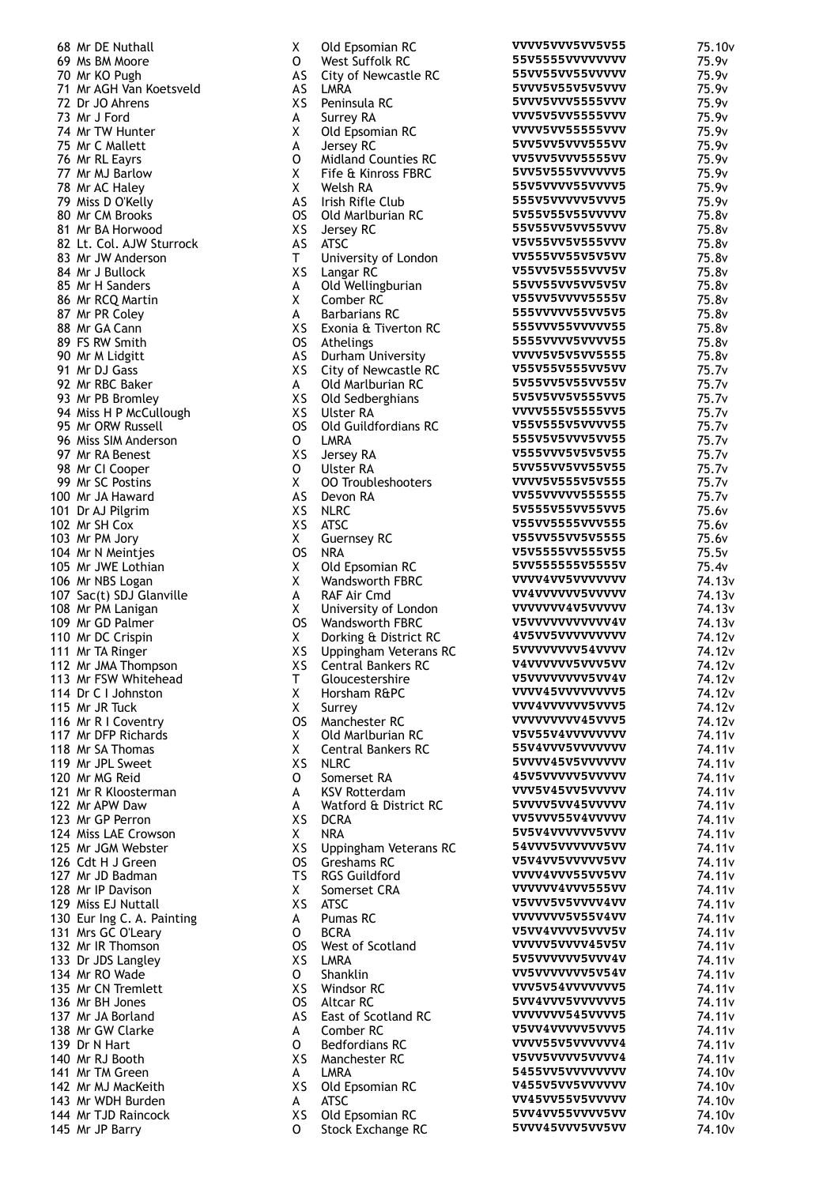|            | 68 Mr DE Nuthall                                                  |
|------------|-------------------------------------------------------------------|
|            | 69 Ms BM Moore                                                    |
|            |                                                                   |
|            | 70 Mr KO Pugh                                                     |
|            | 71 Mr AGH Van Koetsveld                                           |
|            | 72 Dr JO Ahrens                                                   |
|            | 73 Mr J Ford                                                      |
|            |                                                                   |
|            | 74 Mr TW Hunter                                                   |
|            | 75 Mr C Mallett                                                   |
|            | 76 Mr RL Eayrs                                                    |
|            |                                                                   |
|            | 77 Mr MJ Barlow<br>78 Mr AC Haley                                 |
|            |                                                                   |
|            | 79 Miss D O'Kelly                                                 |
|            | 80 Mr CM Brooks                                                   |
|            |                                                                   |
|            | 81 Mr BA Horwood                                                  |
|            | 82 Lt. Col. AJW Sturrock<br>83 Mr JW Anderson                     |
|            |                                                                   |
|            | 84 Mr J Bullock                                                   |
|            |                                                                   |
|            | 85 Mr H Sanders                                                   |
|            | 86 Mr RCQ Martin                                                  |
|            | 87 Mr PR Coley                                                    |
|            |                                                                   |
|            | 88 Mr GA Cann                                                     |
|            | 89 FS RW Smith                                                    |
|            | 90 Mr M Lidgitt                                                   |
|            |                                                                   |
|            | 91 Mr DJ Gass<br>92 Mr RBC Baker                                  |
|            |                                                                   |
|            | 93 Mr PB Bromley                                                  |
|            | 94 Miss H P McCullough<br>95 Mr ORW Russell                       |
|            |                                                                   |
|            |                                                                   |
|            | 96 Miss SIM Anderson                                              |
|            | 97 Mr RA Benest<br>98 Mr CI Cooper                                |
|            |                                                                   |
|            |                                                                   |
|            | 99 Mr SC Postins                                                  |
|            |                                                                   |
|            | 100 Mr JA Haward<br>101 Dr AJ Pilgrim                             |
|            | 102 Mr SH Cox                                                     |
|            |                                                                   |
|            | 103 Mr PM Jory<br>104 Mr N Meintjes                               |
|            |                                                                   |
|            | 105 Mr JWE Lothian                                                |
|            |                                                                   |
|            |                                                                   |
|            | 106 Mr NBS Logan<br>107 Sac(t) SDJ Glanville<br>108 Mr PM Lanigan |
|            |                                                                   |
|            |                                                                   |
|            | 109 Mr GD Palmer<br>110 Mr DC Crispin                             |
|            |                                                                   |
|            | 111 Mr TA Ringer                                                  |
|            | 112 Mr JMA Thompson                                               |
|            | 113 Mr FSW Whitehead                                              |
|            |                                                                   |
|            | 114 Dr C I Johnston                                               |
|            | 115 Mr JR Tuck                                                    |
|            | 116 Mr R I Coventry                                               |
|            | 117 Mr DFP Richards                                               |
|            |                                                                   |
|            | 118 Mr SA Thomas                                                  |
|            | 119 Mr JPL Sweet                                                  |
|            | 120 Mr MG Reid                                                    |
|            | Mr R Kloosterman                                                  |
| 121<br>122 |                                                                   |
|            | Mr APW Daw                                                        |
|            | 123 Mr GP Perron                                                  |
|            | 124 Miss LAE Crowson                                              |
|            | 125 Mr JGM Webster                                                |
|            |                                                                   |
|            | 126 Cdt H J Green                                                 |
| 127        | Mr JD Badman                                                      |
| 128        | Mr IP Davison                                                     |
| 129        | Miss EJ Nuttall                                                   |
|            |                                                                   |
|            | 130 Eur Ing C. A. Painting<br>131 Mrs GC O'Leary                  |
|            |                                                                   |
| 132        | Mr IR Thomson                                                     |
|            |                                                                   |
| 133        | Dr JDS Langley                                                    |
| 134        | Mr RO Wade                                                        |
| 135        | Mr CN Tremlett                                                    |
| 136        | Mr BH Jones                                                       |
|            |                                                                   |
| 137        | Mr JA Borland                                                     |
|            | 138 Mr GW Clarke                                                  |
|            | 139 Dr N Hart                                                     |
|            | 140 Mr RJ Booth                                                   |
|            |                                                                   |
|            | 141 Mr TM Green                                                   |
|            | 142 Mr MJ MacKeith<br>143 Mr WDH Burden                           |
|            |                                                                   |
|            | 144 Mr TJD Raincock                                               |
|            |                                                                   |
|            | 145 Mr JP Barry                                                   |

| χ               | Old Epsomian RC                                    | VVVV5VVV5VV5V55                    | 75.10 <sub>v</sub>                       |
|-----------------|----------------------------------------------------|------------------------------------|------------------------------------------|
| 0               | West Suffolk RC                                    | 55V5555VVVVVVVV                    | 75.9v                                    |
| AS              | City of Newcastle RC                               | 55VV55VV55VVVVV<br>5VVV5V55V5V5VVV | 75.9v                                    |
| AS<br>XS        | LMRA<br>Peninsula RC                               | 5VVV5VVV5555VVV                    | 75.9v<br>75.9v                           |
| А               | Surrey RA                                          | VVV5V5VV5555VVV                    | 75.9v                                    |
| Χ               | Old Epsomian RC                                    | VVVV5VV55555VVV                    | 75.9v                                    |
| A               | Jersey RC                                          | 5VV5VV5VVV555VV                    | 75.9v                                    |
| 0               | <b>Midland Counties RC</b>                         | VV5VV5VVV5555VV                    | 75.9v                                    |
| Χ               | Fife & Kinross FBRC                                | 5VV5V555VVVVVV5                    | 75.9v                                    |
| Χ               | Welsh RA                                           | 55V5VVVV55VVVV5                    | 75.9v                                    |
| AS              | Irish Rifle Club                                   | 555V5VVVVV5VVV5                    | 75.9v                                    |
| <b>OS</b><br>XS | Old Marlburian RC                                  | 5V55V55V55VVVVV<br>55V55VV5VV55VVV | 75.8v<br>75.8v                           |
| AS              | Jersey RC<br>ATSC                                  | V5V55VV5V555VVV                    | 75.8v                                    |
| T               | University of London                               | VV555VV55V5V5VV                    | 75.8v                                    |
| XS              | Langar RC                                          | V55VV5V555VVV5V                    | 75.8v                                    |
| А               | Old Wellingburian                                  | 55VV55VV5VV5V5V                    | 75.8v                                    |
| Χ               | Comber RC                                          | V55VV5VVVV5555V                    | 75.8v                                    |
| A               | <b>Barbarians RC</b>                               | 555VVVVV55VV5V5                    | 75.8v                                    |
| XS              | Exonia & Tiverton RC                               | 555VVV55VVVVV55                    | 75.8v                                    |
| <b>OS</b>       | Athelings                                          | 5555VVVV5VVVV55                    | 75.8v                                    |
| AS<br>XS        | Durham University                                  | VVVV5V5V5VV5555<br>V55V55V555VV5VV | 75.8v                                    |
| A               | City of Newcastle RC<br>Old Marlburian RC          | 5V55VV5V55VV55V                    | 75.7v<br>75.7v                           |
| XS              | Old Sedberghians                                   | 5V5V5VV5V555VV5                    | 75.7v                                    |
| XS              | <b>Ulster RA</b>                                   | VVVV555V5555VV5                    | 75.7v                                    |
| <b>OS</b>       | Old Guildfordians RC                               | V55V555V5VVVV55                    | 75.7 <sub>v</sub>                        |
| o               | LMRA                                               | 555V5V5VVV5VV55                    | 75.7v                                    |
| XS              | Jersey RA                                          | V555VVV5V5V5V55                    | 75.7 <sub>v</sub>                        |
| 0               | <b>Ulster RA</b>                                   | 5VV55VV5VV55V55                    | 75.7v                                    |
| X               | <b>00 Troubleshooters</b>                          | VVVV5V555V5V555                    | 75.7v                                    |
| AS              | Devon RA                                           | VV55VVVVV555555<br>5V555V55VV55VV5 | 75.7 <sub>v</sub>                        |
| XS<br>XS        | <b>NLRC</b><br>ATSC                                | V55VV5555VVV555                    | 75.6v<br>75.6v                           |
| X               | <b>Guernsey RC</b>                                 | V55VV55VV5V5555                    | 75.6v                                    |
| <b>OS</b>       | <b>NRA</b>                                         | V5V5555VV555V55                    | 75.5v                                    |
| Χ               | Old Epsomian RC                                    | 5VV555555V5555V                    | 75.4 <sub>v</sub>                        |
| Χ               | <b>Wandsworth FBRC</b>                             | VVVV4VV5VVVVVVV                    | 74.13v                                   |
| A               | RAF Air Cmd                                        | VV4VVVVVV5VVVVV                    | 74.13 <sub>v</sub>                       |
| Χ               | University of London                               | VVVVVV4V5VVVVV                     | 74.13v                                   |
| <b>OS</b>       | <b>Wandsworth FBRC</b>                             | V5VVVVVVVVVV4V                     | 74.13v                                   |
| Χ               | Dorking & District RC                              | 4V5VV5VVVVVVVVV<br>5VVVVVVVV54VVVV | 74.12v                                   |
| XS<br>XS        | Uppingham Veterans RC<br><b>Central Bankers RC</b> | V4VVVVVV5VVV5VV                    | 74.12v<br>74.12v                         |
| T               | Gloucestershire                                    | <b>V5VVVVVVVV5VV4V</b>             | 74.12v                                   |
| χ               | Horsham R&PC                                       | VVVV45VVVVVVVVV5                   | 74.12v                                   |
| X               | Surrey                                             | VVV4VVVVVV5VVV5                    | 74.12v                                   |
| <b>OS</b>       | Manchester RC                                      | VVVVVVVV45VVV5                     | 74.12v                                   |
| Χ               | Old Marlburian RC                                  | V5V55V4VVVVVVVV                    | 74.11v                                   |
| X               | <b>Central Bankers RC</b>                          | 55V4VVV5VVVVVVV                    | 74.11 <sub>v</sub>                       |
| XS              | <b>NLRC</b>                                        | 5VVVV45V5VVVVVV                    | 74.11v                                   |
| 0<br>A          | Somerset RA                                        | 45V5VVVVV5VVVVV<br>VVV5V45VV5VVVVV | 74.11v<br>74.11 <sub>v</sub>             |
| А               | <b>KSV Rotterdam</b><br>Watford & District RC      | 5VVVV5VV45VVVVV                    | 74.11v                                   |
| XS              | <b>DCRA</b>                                        | VV5VVV55V4VVVVV                    | 74.11v                                   |
| X               | <b>NRA</b>                                         | 5V5V4VVVVVV5VVV                    | 74.11 <sub>v</sub>                       |
| XS              | Uppingham Veterans RC                              | 54VVV5VVVVVV5VV                    | 74.11 <sub>v</sub>                       |
| <b>OS</b>       | Greshams RC                                        | V5V4VV5VVVVV5VV                    | 74.11v                                   |
| <b>TS</b>       | <b>RGS Guildford</b>                               | VVVV4VVV55VV5VV                    | 74.11 <sub>v</sub>                       |
| X               | Somerset CRA                                       | VVVVVV4VVV555VV                    | 74.11 <sub>v</sub>                       |
| XS              | ATSC                                               | V5VVV5V5VVVV4VV                    | 74.11v                                   |
| A               | Pumas RC<br><b>BCRA</b>                            | VVVVVV5V55V4VV<br>V5VV4VVVV5VVV5V  | 74.11 <sub>v</sub><br>74.11 <sub>v</sub> |
| О<br><b>OS</b>  | West of Scotland                                   | VVVVV5VVVV45V5V                    | 74.11v                                   |
| XS              | <b>LMRA</b>                                        | 5V5VVVVVV5VVV4V                    | 74.11v                                   |
| 0               | Shanklin                                           | VV5VVVVVVV5V54V                    | 74.11 <sub>v</sub>                       |
| XS              | Windsor RC                                         | VVV5V54VVVVVVV5                    | 74.11v                                   |
| <b>OS</b>       | <b>Altcar RC</b>                                   | 5VV4VVV5VVVVVV5                    | 74.11 <sub>v</sub>                       |
| AS              | East of Scotland RC                                | VVVVVV545VVVV5                     | 74.11 <sub>v</sub>                       |
| A               | Comber <sub>RC</sub>                               | V5VV4VVVVV5VVV5                    | 74.11v                                   |
| 0               | <b>Bedfordians RC</b>                              | VVVV55V5VVVVVV4<br>V5VV5VVVV5VVVV4 | 74.11v                                   |
| XS              | Manchester RC                                      | 5455VV5VVVVVVVV                    | 74.11 <sub>v</sub>                       |
| A<br>XS         | LMRA<br>Old Epsomian RC                            | V455V5VV5VVVVVV                    | 74.10 <sub>v</sub><br>74.10 <sub>v</sub> |
| A               | ATSC                                               | VV45VV55V5VVVVV                    | 74.10 <sub>v</sub>                       |
| XS              | Old Epsomian RC                                    | 5VV4VV55VVVV5VV                    | 74.10 <sub>v</sub>                       |
| O               | Stock Exchange RC                                  | 5VVV45VVV5VV5VV                    | 74.10 <sub>v</sub>                       |
|                 |                                                    |                                    |                                          |

| د ∧ | <b>UND LUSUITION NU</b> |  |
|-----|-------------------------|--|
| ∩   | Stock Exchange R        |  |

| vvv5vvv5vv5v55<br>5V5555VVVVVVVV         | 75.10v<br>75.9 <sub>v</sub>             |
|------------------------------------------|-----------------------------------------|
| 5VV55VV55VVVVV                           | 75.9v                                   |
| vvv5v55v5v5vvv                           | 75.9v                                   |
| vvv5vvv5555vvv                           | 75.9v                                   |
| vv5v5vv5555vvv                           | 75.9v                                   |
| <b>vvv5vv55555vvv</b><br>vv5vv5vvv555vv  | 75.9v                                   |
| v5vv5vvv5555vv                           | 75.9v<br>75.9v                          |
| <b>vv5v555vvvvvv5</b>                    | 75.9v                                   |
| 5V5VVVV55VVVV5                           | 75.9v                                   |
| 55V5VVVVV5VVV5                           | 75.9v                                   |
| <b>v55v55v55vvvvv</b>                    | 75.8v                                   |
| 5V55VV5VV55VVV                           | 75.8v                                   |
| 5V55VV5V555VVV<br><b>v555vv55v5v5vv</b>  | 75.8v<br>75.8v                          |
| 55VV5V555VVV5V                           | 75.8v                                   |
| 5VV55VV5VV5V5V                           | 75.8v                                   |
| 55VV5VVVV5555V                           | 75.8v                                   |
| 55VVVVV55VV5V5                           | 75.8v                                   |
| 55VVV55VVVVV55                           | 75.8v                                   |
| 555VVVV5VVVV55<br><b>vvv5v5v5vv55555</b> | 75.8v                                   |
| 55V55V555VV5VV                           | 75.8v<br>75.7v                          |
| <b>v55vv5v55vv55v</b>                    | 75.7v                                   |
| <b>v5v5vv5v555vv5</b>                    | 75.7v                                   |
| <b>vvv555v5555vv5</b>                    | 75.7v                                   |
| 55V555V5VVVV55                           | 75.7v                                   |
| 55V5V5VVV5VV55                           | 75.7v                                   |
| 555VVV5V5V5V55<br><b>vv55vv5vv55v55</b>  | 75.7v                                   |
| <b>vvv5v555v5v555</b>                    | 75.7v<br>75.7v                          |
| <b>V55VVVVV555555</b>                    | 75.7v                                   |
| <b>v555v55vv55vv5</b>                    | 75.6v                                   |
| 55VV5555VVV555                           | 75.6v                                   |
| 55VV55VV5V5555                           | 75.6v                                   |
| 5V5555VV555V55<br><b>vv555555v5555v</b>  | 75.5v                                   |
| <b>vvv4vv5vvvvvvvv</b>                   | 75.4 <sub>v</sub><br>74.13 <sub>v</sub> |
| v4vvvvvv5vvvvv                           | 74.13v                                  |
| vvvvvv4v5vvvvv                           | 74.13 <sub>v</sub>                      |
| 5vvvvvvvvvvvv4v                          | 74.13 <sub>v</sub>                      |
| <b>v5vv5vvvvvvvvvv</b>                   | 74.12                                   |
| vvvvvvvv54vvvv                           | 74.12v                                  |
| 4VVVVVV5VVV5VV<br>5vvvvvvvv5vv4v         | 74.12v<br>74.12v                        |
| vvv45vvvvvvvv5                           | 74.12v                                  |
| vv4vvvvvv5vvv5                           | 74.12 <sub>v</sub>                      |
| vvvvvvvv45vvv5                           | 74.12v                                  |
| 5V55V4VVVVVVVV                           | 74.11v                                  |
| 5V4VVV5VVVVVVV                           | 74.11v                                  |
| vvvv45v5vvvvvv<br>5v5vvvvv5vvvvv         | 74.11v<br>74.11v                        |
| vv5v45vv5vvvvv                           | 74.11v                                  |
| vvvv5vv45vvvvv                           | 74.11v                                  |
| v5vvv55v4vvvvv                           | 74.11v                                  |
| v5v4vvvvvv5vvv                           | 74.11v                                  |
| 4VVV5VVVVVV5VV                           | 74.11 <sub>V</sub>                      |
| 5V4VV5VVVVV5VV<br>vvv4vvv55vv5vv         | 74.11v                                  |
| vvvvv4vvv555vv                           | 74.11v<br>74.11 <sub>V</sub>            |
| 5vvv5v5vvvv4vv                           | 74.11v                                  |
| vvvvvv5v55v4vv                           | 74.11v                                  |
| 5vv4vvvv5vvv5v                           | 74.11v                                  |
| vvvv5vvvv45v5v                           | 74.11v                                  |
| v5vvvvvv5vvv4v<br>v5vvvvvvv5v54v         | 74.11v                                  |
| vv5v54vvvvvvv5                           | 74.11 <sub>V</sub><br>74.11v            |
| <b>vv4vvv5vvvvvvv5</b>                   | 74.11v                                  |
| vvvvvv545vvvv5                           | 74.11v                                  |
| 5vv4vvvvv5vvv5                           | 74.11v                                  |
| <b>vvv55v5vvvvvv4</b>                    | 74.11v                                  |
| 5vv5vvvv5vvvv4                           | 74.11 <sub>V</sub>                      |
| 455VV5VVVVVVVV<br>7455V5VV5VVVVVV        | 74.10v                                  |
| v45vv55v5vvvvv                           | 74.10v<br>74.10v                        |
| vv4vv55vvvv5vv                           | 74 10v                                  |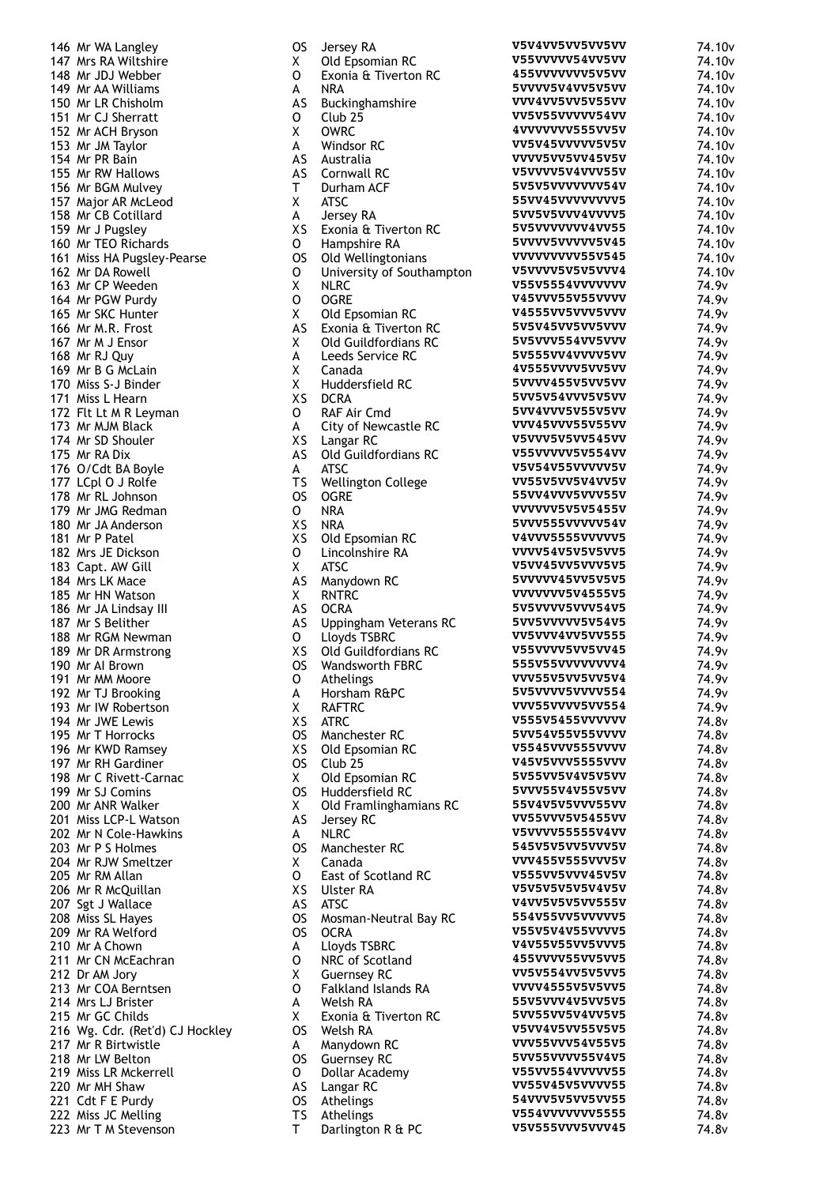| 146 Mr WA Langley                                      |
|--------------------------------------------------------|
| 147 Mrs RA Wiltshire                                   |
| 148 Mr JDJ Webber<br>149 Mr AA Williams                |
| 150 Mr LR Chisholm                                     |
| 151 Mr CJ Sherratt                                     |
| 152 Mr ACH Bryson                                      |
| 153 Mr JM Taylor                                       |
| 154 Mr PR Bain<br>155 Mr RW Hallows                    |
| 156 Mr BGM Mulvey                                      |
| 157 Major AR McLeod                                    |
| 158 Mr CB Cotillard                                    |
| 159 Mr J Pugsley                                       |
| 160 Mr TEO Richards                                    |
| 161 Miss HA Pugsley-Pearse<br>162 Mr DA Rowell         |
| 163 Mr CP Weeden                                       |
| 164 Mr PGW Purdy                                       |
| 165 Mr SKC Hunter                                      |
| 166 Mr M.R. Frost                                      |
| 167 Mr M J Ensor<br>168 Mr RJ Quy                      |
| 169 Mr B G McLain                                      |
| 170 Miss S-J Binder                                    |
| 171 Miss L Hearn<br>172 Flt Lt M R Leyman              |
| 173 Mr MJM Black                                       |
| 174 Mr SD Shouler                                      |
| 175 Mr RA Dix                                          |
| 176 O/Cdt BA Boyle<br>177 LCpl O J Rolfe               |
| 178 Mr RL Johnson                                      |
| 179 Mr JMG Redman                                      |
| 180 Mr JA Anderson                                     |
| 181 Mr P Patel                                         |
| 182 Mrs JE Dickson<br>183 Capt. AW Gill                |
| 184 Mrs LK Mace                                        |
| 185 Mr HN Watson                                       |
| 186 Mr JA Lindsay III<br>187 Mr S Belither             |
| 188 Mr RGM Newman                                      |
| 189 Mr DR Armstrong                                    |
| 190 Mr Al Brown                                        |
| 191 Mr MM Moore<br>192 Mr TJ Brooking                  |
| 193 Mr IW Robertson                                    |
| 194 Mr JWE Lewis                                       |
| 195 Mr T Horrocks                                      |
| 196 Mr KWD Ramsey                                      |
| 197 Mr RH Gardiner<br>198 Mr C Rivett-Carnac           |
| 199 Mr SJ Comins                                       |
| 200 Mr ANR Walker                                      |
| 201 Miss LCP-L Watson<br>202 Mr N Cole-Hawkins         |
| 203 Mr P S Holmes                                      |
| 204 Mr RJW Smeltzer                                    |
| 205 Mr RM Allan                                        |
| 206 Mr R McQuillan<br>207 Sgt J Wallace                |
| 208 Miss SL Hayes                                      |
| 209 Mr RA Welford                                      |
| 210 Mr A Chown                                         |
| 211 Mr CN McEachran                                    |
| 212 Dr AM Jory<br>213 Mr COA Berntsen                  |
| 214 Mrs LJ Brister                                     |
| 215 Mr GC Childs                                       |
| 216 Wg. Cdr. (Ret'd) CJ Hockley<br>217 Mr R Birtwistle |
| 218 Mr LW Belton                                       |
| 219 Miss LR Mckerrell                                  |
| 220 Mr MH Shaw                                         |
| 221 Cdt F E Purdy<br>222 Miss JC Melling               |
| 223 Mr T M Stevenson                                   |

| OS       | Jersey RA                   | V5V4VV5VV5VV5VV        | 74.10 <sub>v</sub>         |
|----------|-----------------------------|------------------------|----------------------------|
| Χ        | Old Epsomian RC             | V55VVVVV54VV5VV        | 74.10 <sub>v</sub>         |
| 0        | Exonia & Tiverton RC        | 455VVVVVVV5V5VV        | 74.10 <sub>v</sub>         |
| A        | NRA                         | 5VVVV5V4VV5V5VV        | 74.10 <sub>v</sub>         |
| AS       | Buckinghamshire             | VVV4VV5VV5V55VV        | 74.10 <sub>v</sub>         |
| 0        | Club <sub>25</sub>          | VV5V55VVVVV54VV        | 74.10 <sub>v</sub>         |
| Χ        | <b>OWRC</b>                 | 4VVVVVVV555VV5V        | 74.10 <sub>v</sub>         |
| A        | Windsor RC                  | VV5V45VVVVV5V5V        | 74.10 <sub>v</sub>         |
| AS       | Australia                   | VVVV5VV5VV45V5V        | 74.10 <sub>v</sub>         |
| AS       | Cornwall RC                 | V5VVVV5V4VVV55V        | 74.10 <sub>v</sub>         |
| T.       | Durham ACF                  | 5V5V5VVVVVVV54V        | 74.10 <sub>v</sub>         |
| Χ        | <b>ATSC</b>                 | 55VV45VVVVVVVV5        | 74.10 <sub>v</sub>         |
| A        | Jersey RA                   | 5VV5V5VVV4VVVV5        | 74.10 <sub>v</sub>         |
| XS.      | Exonia & Tiverton RC        | 5V5VVVVVVV4VV55        | 74.10 <sub>v</sub>         |
| 0        | Hampshire RA                | 5VVVV5VVVVV5V45        | 74.10 <sub>v</sub>         |
| OS       | Old Wellingtonians          | VVVVVVVV55V545         | 74.10 <sub>v</sub>         |
| 0        | University of Southampton   | V5VVVV5V5V5VVV4        | 74.10 <sub>v</sub>         |
| Χ        | <b>NLRC</b>                 | V55V5554VVVVVVV        | 74.9 <sub>v</sub>          |
| 0        | <b>OGRE</b>                 | <b>V45VVV55V55VVVV</b> | 74.9 <sub>v</sub>          |
| Χ        | Old Epsomian RC             | V4555VV5VVV5VVV        | 74.9v                      |
| AS       | Exonia & Tiverton RC        | 5V5V45VV5VV5VVV        | 74.9 <sub>v</sub>          |
| X.       | Old Guildfordians RC        | 5V5VVV554VV5VVV        | 74.9 <sub>v</sub>          |
| A        | Leeds Service RC            | 5V555VV4VVVV5VV        | 74.9 <sub>v</sub>          |
| χ        | Canada                      | 4V555VVVV5VV5VV        | 74.9 <sub>v</sub>          |
| Χ        | Huddersfield RC             | 5VVVV455V5VV5VV        | 74.9 <sub>v</sub>          |
| ХS       | <b>DCRA</b>                 | 5VV5V54VVV5V5VV        | 74.9 <sub>v</sub>          |
| 0        | RAF Air Cmd                 | 5VV4VVV5V55V5VV        | 74.9 <sub>v</sub>          |
| A        | <b>City of Newcastle RC</b> | <b>VVV45VVV55V55VV</b> | 74.9 <sub>v</sub>          |
| XS.      | Langar RC                   | V5VVV5V5VV545VV        | 74.9 <sub>v</sub>          |
| AS       | Old Guildfordians RC        | V55VVVVV5V554VV        | 74.9v                      |
| A        | <b>ATSC</b>                 | V5V54V55VVVVV5V        | 74.9 <sub>v</sub>          |
| ТS       | Wellington College          | VV55V5VV5V4VV5V        | 74.9 <sub>v</sub>          |
| os       | <b>OGRE</b>                 | 55VV4VVV5VVV55V        | 74.9v                      |
| 0        | <b>NRA</b>                  | VVVVVV5V5V5455V        | 74.9 <sub>v</sub>          |
| ΧS       | NRA                         | 5VVV555VVVVV54V        | 74.9v                      |
| ΧS       | Old Epsomian RC             | V4VVV5555VVVVV5        | 74.9v                      |
| 0        | Lincolnshire RA             | VVVV54V5V5V5VV5        | 74.9 <sub>v</sub>          |
| Χ        | ATSC                        | V5VV45VV5VVV5V5        | 74.9 <sub>v</sub>          |
| AS       | Manydown RC                 | 5VVVVV45VV5V5V5        | 74.9v                      |
| X.       | <b>RNTRC</b>                | VVVVVVV5V4555V5        | 74.9 <sub>v</sub>          |
| AS       | <b>OCRA</b>                 | 5V5VVVV5VVV54V5        | 74.9v                      |
| AS       | Uppingham Veterans RC       | 5VV5VVVVV5V54V5        | 74.9v                      |
| 0        | Lloyds TSBRC                | VV5VVV4VV5VV555        | 74.9 <sub>v</sub>          |
| хs       | Old Guildfordians RC        | V55VVVV5VV5VV45        | 74.9 <sub>v</sub>          |
| OS       | <b>Wandsworth FBRC</b>      | 555V55VVVVVVVV4        | 74.9v                      |
| 0        | Athelings                   | VVV55V5VV5VV5V4        | 74.9 <sub>v</sub>          |
| A        | Horsham R&PC                | 5V5VVVV5VVVV554        | 74.9v                      |
| Χ        | <b>RAFTRC</b>               | VVV55VVVV5VV554        | 74.9 <sub>v</sub>          |
| ΧS       | ATRC                        | <b>V555V5455VVVVVV</b> | 74.8 <sub>v</sub>          |
| OS       | Manchester RC               | 5VV54V55V55VVVV        | 74.8v                      |
| ΧS       | Old Epsomian RC             | <b>V5545VVV555VVVV</b> | 74.8 <sub>v</sub>          |
| OS.      | Club <sub>25</sub>          | V45V5VVV5555VVV        | 74.8v                      |
| X        | Old Epsomian RC             | 5V55VV5V4V5V5VV        | 74.8v                      |
| OS       | Huddersfield RC             | 5VVV55V4V55V5VV        | 74.8 <sub>v</sub>          |
| X.       | Old Framlinghamians RC      | 55V4V5V5VVV55VV        | 74.8v                      |
| AS       | Jersey RC                   | VV55VVV5V5455VV        | 74.8v                      |
| А        | <b>NLRC</b>                 | V5VVVV55555V4VV        | 74.8v                      |
| OS       | Manchester RC               | 545V5V5VV5VVV5V        | 74.8v                      |
| Χ        | Canada                      | VVV455V555VVV5V        | 74.8v                      |
|          | East of Scotland RC         | V555VV5VVV45V5V        |                            |
| 0<br>xs  | <b>Ulster RA</b>            | V5V5V5V5V5V4V5V        | 74.8v<br>74.8 <sub>v</sub> |
|          | <b>ATSC</b>                 | <b>V4VV5V5V5VV555V</b> | 74.8 <sub>v</sub>          |
| AS<br>os |                             | 554V55VV5VVVVV5        | 74.8 <sub>v</sub>          |
|          | Mosman-Neutral Bay RC       | V55V5V4V55VVVV5        |                            |
| OS       | OCRA                        | V4V55V55VV5VVV5        | 74.8v                      |
| A        | Lloyds TSBRC                | 455VVVV55VV5VV5        | 74.8 <sub>v</sub>          |
| 0        | NRC of Scotland             | VV5V554VV5V5VV5        | 74.8 <sub>v</sub>          |
| X        | <b>Guernsey RC</b>          | VVVV4555V5V5VV5        | 74.8 <sub>v</sub>          |
| 0        | <b>Falkland Islands RA</b>  | 55V5VVV4V5VV5V5        | 74.8 <sub>v</sub>          |
| A        | Welsh RA                    | 5VV55VV5V4VV5V5        | 74.8 <sub>v</sub>          |
| Χ        | Exonia & Tiverton RC        | V5VV4V5VV55V5V5        | 74.8v                      |
| OS       | Welsh RA                    | VVV55VVV54V55V5        | 74.8 <sub>v</sub>          |
| А        | Manydown RC                 | 5VV55VVVV55V4V5        | 74.8 <sub>v</sub>          |
| OS       | <b>Guernsey RC</b>          | V55VV554VVVVV55        | 74.8 <sub>v</sub>          |
| 0        | Dollar Academy              | VV55V45V5VVVV55        | 74.8v                      |
| AS       | Langar RC                   | 54VVV5V5VV5VV55        | 74.8v                      |
| OS       | Athelings                   | V554VVVVVVV5555        | 74.8v                      |
| ΤS       | Athelings                   | V5V555VVV5VVV45        | 74.8v                      |
| Т        | Darlington R & PC           |                        | 74.8 <sub>v</sub>          |